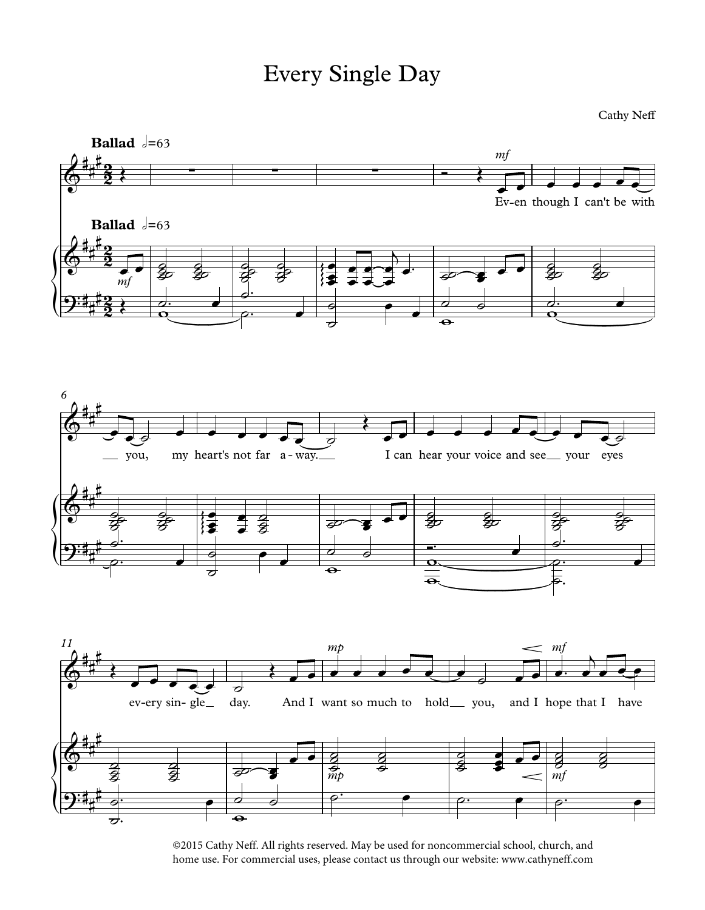## Every Single Day



©2015 Cathy Neff. All rights reserved. May be used for noncommercial school, church, and home use. For commercial uses, please contact us through our website: www.cathyneff.com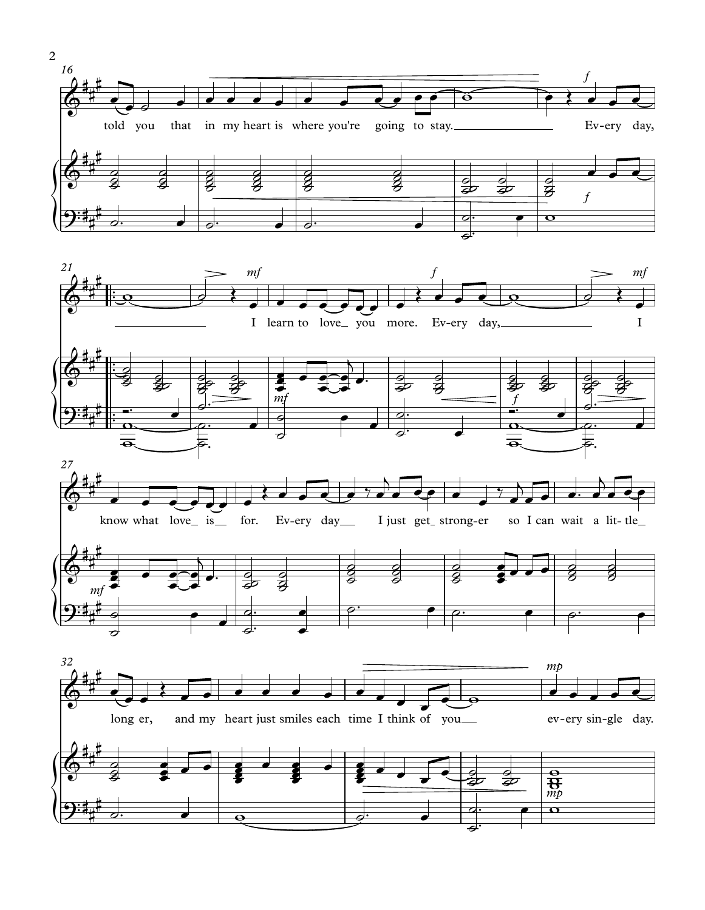





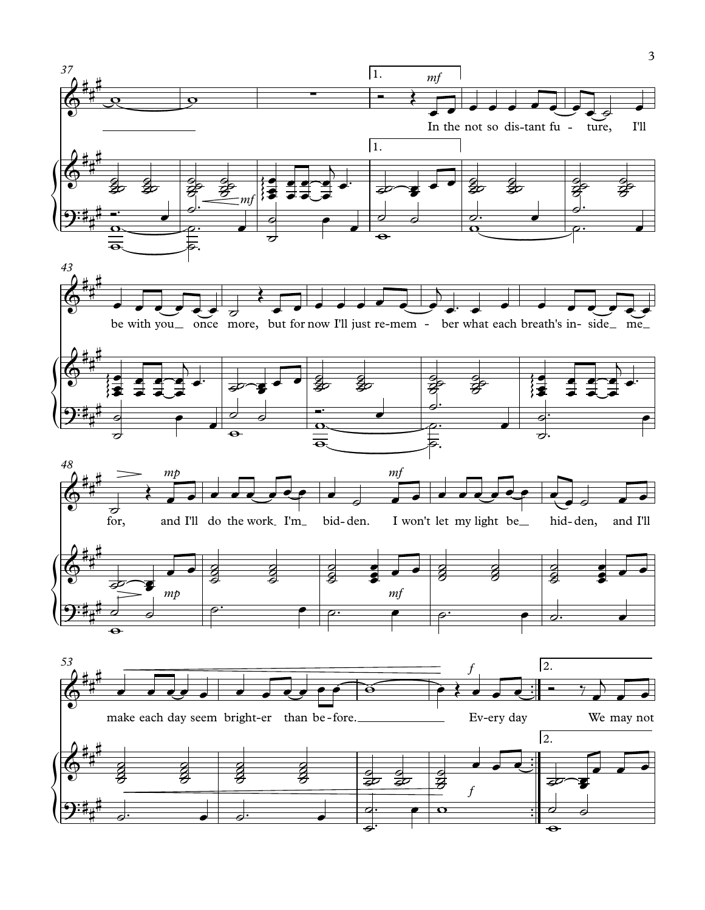